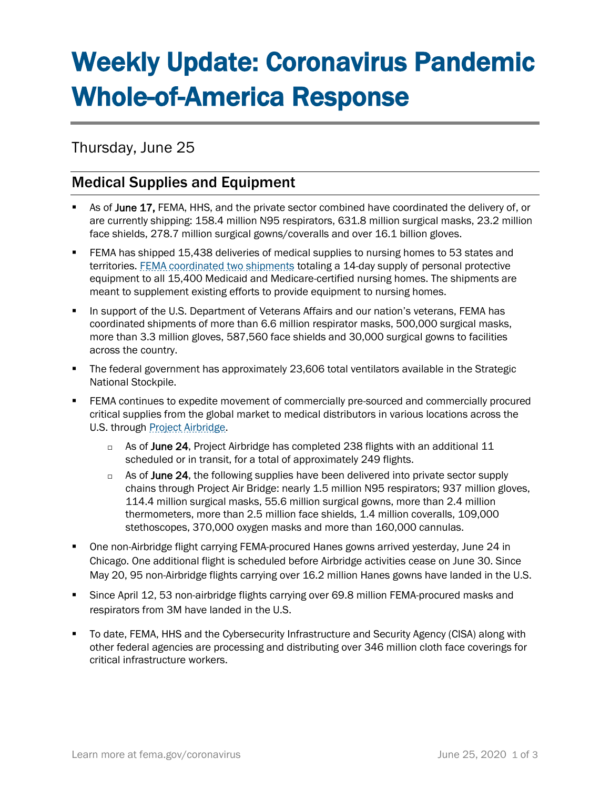# Weekly Update: Coronavirus Pandemic Whole-of-America Response

Thursday, June 25

## Medical Supplies and Equipment

- As of June 17, FEMA, HHS, and the private sector combined have coordinated the delivery of, or are currently shipping: 158.4 million N95 respirators, 631.8 million surgical masks, 23.2 million face shields, 278.7 million surgical gowns/coveralls and over 16.1 billion gloves.
- FEMA has shipped 15,438 deliveries of medical supplies to nursing homes to 53 states and territories. [FEMA coordinated](https://www.fema.gov/news-release/2020/04/30/personal-protective-equipment-medicare-and-medicaid-nursing-homes) two shipments totaling a 14-day supply of personal protective equipment to all 15,400 Medicaid and Medicare-certified nursing homes. The shipments are meant to supplement existing efforts to provide equipment to nursing homes.
- **■** In support of the U.S. Department of Veterans Affairs and our nation's veterans, FEMA has coordinated shipments of more than 6.6 million respirator masks, 500,000 surgical masks, more than 3.3 million gloves, 587,560 face shields and 30,000 surgical gowns to facilities across the country.
- The federal government has approximately 23,606 total ventilators available in the Strategic National Stockpile.
- **FEMA continues to expedite movement of commercially pre-sourced and commercially procured** critical supplies from the global market to medical distributors in various locations across the U.S. through [Project Airbridge.](https://www.fema.gov/news-release/2020/04/08/fema-covid-19-supply-chain-task-force-supply-chain-stabilization)
	- $\Box$  As of June 24, Project Airbridge has completed 238 flights with an additional 11 scheduled or in transit, for a total of approximately 249 flights.
	- $\Box$  As of June 24, the following supplies have been delivered into private sector supply chains through Project Air Bridge: nearly 1.5 million N95 respirators; 937 million gloves, 114.4 million surgical masks, 55.6 million surgical gowns, more than 2.4 million thermometers, more than 2.5 million face shields, 1.4 million coveralls, 109,000 stethoscopes, 370,000 oxygen masks and more than 160,000 cannulas.
- One non-Airbridge flight carrying FEMA-procured Hanes gowns arrived yesterday, June 24 in Chicago. One additional flight is scheduled before Airbridge activities cease on June 30. Since May 20, 95 non-Airbridge flights carrying over 16.2 million Hanes gowns have landed in the U.S.
- Since April 12, 53 non-airbridge flights carrying over 69.8 million FEMA-procured masks and respirators from 3M have landed in the U.S.
- To date, FEMA, HHS and the Cybersecurity Infrastructure and Security Agency (CISA) along with other federal agencies are processing and distributing over 346 million cloth face coverings for critical infrastructure workers.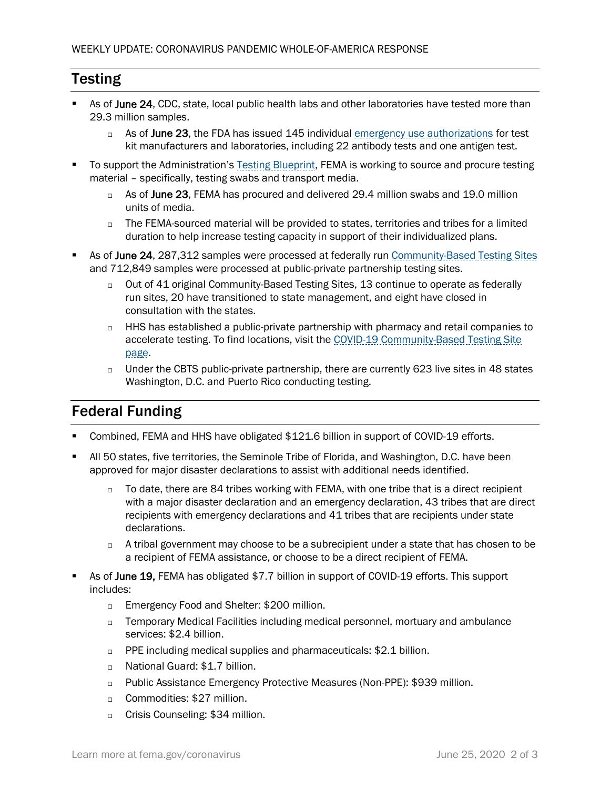#### **Testing**

- As of June 24, CDC, state, local public health labs and other laboratories have tested more than 29.3 million samples.
	- $\Box$  As of June 23, the FDA has issued 145 individual [emergency use authorizations](https://www.fda.gov/medical-devices/emergency-situations-medical-devices/emergency-use-authorizations) for test kit manufacturers and laboratories, including 22 antibody tests and one antigen test.
- To support the Administration's [Testing Blueprint,](https://www.whitehouse.gov/wp-content/uploads/2020/04/Testing-Blueprint.pdf) FEMA is working to source and procure testing material – specifically, testing swabs and transport media.
	- $\Box$  As of June 23, FEMA has procured and delivered 29.4 million swabs and 19.0 million units of media.
	- $\Box$  The FEMA-sourced material will be provided to states, territories and tribes for a limited duration to help increase testing capacity in support of their individualized plans.
- As of June 24, 287,312 samples were processed at federally run [Community-Based Testing Sites](https://www.hhs.gov/coronavirus/community-based-testing-sites/index.html) and 712,849 samples were processed at public-private partnership testing sites.
	- □ Out of 41 original Community-Based Testing Sites, 13 continue to operate as federally run sites, 20 have transitioned to state management, and eight have closed in consultation with the states.
	- $\Box$  HHS has established a public-private partnership with pharmacy and retail companies to accelerate testing. To find locations, visit the [COVID-19 Community-Based Testing Site](https://www.hhs.gov/coronavirus/community-based-testing-sites/index.html)  [page.](https://www.hhs.gov/coronavirus/community-based-testing-sites/index.html)
	- $\Box$  Under the CBTS public-private partnership, there are currently 623 live sites in 48 states Washington, D.C. and Puerto Rico conducting testing.

## Federal Funding

- Combined, FEMA and HHS have obligated \$121.6 billion in support of COVID-19 efforts.
- All 50 states, five territories, the Seminole Tribe of Florida, and Washington, D.C. have been approved for major disaster declarations to assist with additional needs identified.
	- $\Box$  To date, there are 84 tribes working with FEMA, with one tribe that is a direct recipient with a major disaster declaration and an emergency declaration, 43 tribes that are direct recipients with emergency declarations and 41 tribes that are recipients under state declarations.
	- $\Box$  A tribal government may choose to be a subrecipient under a state that has chosen to be a recipient of FEMA assistance, or choose to be a direct recipient of FEMA.
- As of June 19, FEMA has obligated \$7.7 billion in support of COVID-19 efforts. This support includes:
	- □ Emergency Food and Shelter: \$200 million.
	- $\Box$  Temporary Medical Facilities including medical personnel, mortuary and ambulance services: \$2.4 billion.
	- □ PPE including medical supplies and pharmaceuticals: \$2.1 billion.
	- □ National Guard: \$1.7 billion.
	- Public Assistance Emergency Protective Measures (Non-PPE): \$939 million.
	- □ Commodities: \$27 million.
	- □ Crisis Counseling: \$34 million.